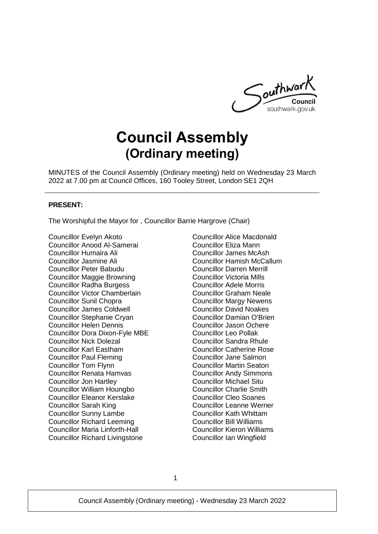

# **Council Assembly (Ordinary meeting)**

MINUTES of the Council Assembly (Ordinary meeting) held on Wednesday 23 March 2022 at 7.00 pm at Council Offices, 160 Tooley Street, London SE1 2QH

#### **PRESENT:**

The Worshipful the Mayor for , Councillor Barrie Hargrove (Chair)

Councillor Evelyn Akoto Councillor Anood Al-Samerai Councillor Humaira Ali Councillor Jasmine Ali Councillor Peter Babudu Councillor Maggie Browning Councillor Radha Burgess Councillor Victor Chamberlain Councillor Sunil Chopra Councillor James Coldwell Councillor Stephanie Cryan Councillor Helen Dennis Councillor Dora Dixon-Fyle MBE Councillor Nick Dolezal Councillor Karl Eastham Councillor Paul Fleming Councillor Tom Flynn Councillor Renata Hamvas Councillor Jon Hartley Councillor William Houngbo Councillor Eleanor Kerslake Councillor Sarah King Councillor Sunny Lambe Councillor Richard Leeming Councillor Maria Linforth-Hall Councillor Richard Livingstone

Councillor Alice Macdonald Councillor Eliza Mann Councillor James McAsh Councillor Hamish McCallum Councillor Darren Merrill Councillor Victoria Mills Councillor Adele Morris Councillor Graham Neale Councillor Margy Newens Councillor David Noakes Councillor Damian O'Brien Councillor Jason Ochere Councillor Leo Pollak Councillor Sandra Rhule Councillor Catherine Rose Councillor Jane Salmon Councillor Martin Seaton Councillor Andy Simmons Councillor Michael Situ Councillor Charlie Smith Councillor Cleo Soanes Councillor Leanne Werner Councillor Kath Whittam Councillor Bill Williams Councillor Kieron Williams Councillor Ian Wingfield

1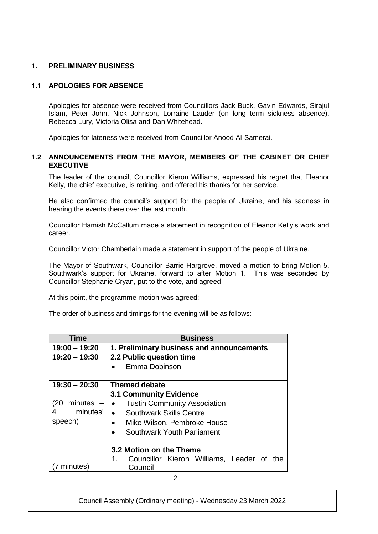# **1. PRELIMINARY BUSINESS**

# **1.1 APOLOGIES FOR ABSENCE**

Apologies for absence were received from Councillors Jack Buck, Gavin Edwards, Sirajul Islam, Peter John, Nick Johnson, Lorraine Lauder (on long term sickness absence), Rebecca Lury, Victoria Olisa and Dan Whitehead.

Apologies for lateness were received from Councillor Anood Al-Samerai.

## **1.2 ANNOUNCEMENTS FROM THE MAYOR, MEMBERS OF THE CABINET OR CHIEF EXECUTIVE**

The leader of the council, Councillor Kieron Williams, expressed his regret that Eleanor Kelly, the chief executive, is retiring, and offered his thanks for her service.

He also confirmed the council's support for the people of Ukraine, and his sadness in hearing the events there over the last month.

Councillor Hamish McCallum made a statement in recognition of Eleanor Kelly's work and career.

Councillor Victor Chamberlain made a statement in support of the people of Ukraine.

The Mayor of Southwark, Councillor Barrie Hargrove, moved a motion to bring Motion 5, Southwark's support for Ukraine, forward to after Motion 1. This was seconded by Councillor Stephanie Cryan, put to the vote, and agreed.

At this point, the programme motion was agreed:

The order of business and timings for the evening will be as follows:

| Time            | <b>Business</b>                                  |  |  |
|-----------------|--------------------------------------------------|--|--|
| $19:00 - 19:20$ | 1. Preliminary business and announcements        |  |  |
| $19:20 - 19:30$ | 2.2 Public question time                         |  |  |
|                 | Emma Dobinson                                    |  |  |
|                 |                                                  |  |  |
| $19:30 - 20:30$ | <b>Themed debate</b>                             |  |  |
|                 | <b>3.1 Community Evidence</b>                    |  |  |
| $minutes -$     | <b>Tustin Community Association</b><br>$\bullet$ |  |  |
| minutes'        | <b>Southwark Skills Centre</b>                   |  |  |
| speech)         | Mike Wilson, Pembroke House<br>$\bullet$         |  |  |
|                 | Southwark Youth Parliament                       |  |  |
|                 |                                                  |  |  |
|                 | 3.2 Motion on the Theme                          |  |  |
|                 | Councillor Kieron Williams, Leader of the<br>1.  |  |  |
| minutes)        | Council                                          |  |  |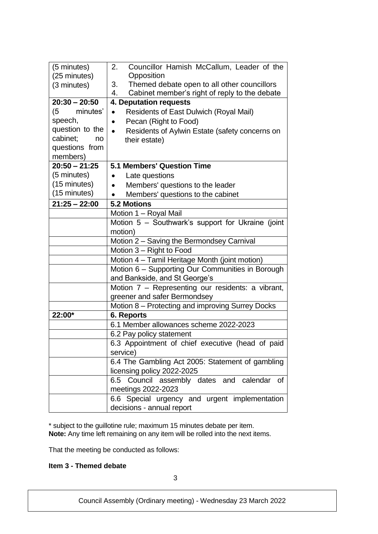| (5 minutes)     | Councillor Hamish McCallum, Leader of the<br>2.             |  |  |
|-----------------|-------------------------------------------------------------|--|--|
| (25 minutes)    | Opposition                                                  |  |  |
| (3 minutes)     | Themed debate open to all other councillors<br>3.           |  |  |
|                 | 4.<br>Cabinet member's right of reply to the debate         |  |  |
| $20:30 - 20:50$ | 4. Deputation requests                                      |  |  |
| minutes'<br>(5  | <b>Residents of East Dulwich (Royal Mail)</b><br>$\bullet$  |  |  |
| speech,         | Pecan (Right to Food)                                       |  |  |
| question to the | Residents of Aylwin Estate (safety concerns on<br>$\bullet$ |  |  |
| cabinet;<br>no  | their estate)                                               |  |  |
| questions from  |                                                             |  |  |
| members)        |                                                             |  |  |
| $20:50 - 21:25$ | <b>5.1 Members' Question Time</b>                           |  |  |
| (5 minutes)     | Late questions<br>$\bullet$                                 |  |  |
| (15 minutes)    | Members' questions to the leader                            |  |  |
| (15 minutes)    | Members' questions to the cabinet                           |  |  |
| $21:25 - 22:00$ | <b>5.2 Motions</b>                                          |  |  |
|                 | Motion 1 - Royal Mail                                       |  |  |
|                 | Motion 5 - Southwark's support for Ukraine (joint           |  |  |
|                 | motion)                                                     |  |  |
|                 | Motion 2 - Saving the Bermondsey Carnival                   |  |  |
|                 | Motion 3 - Right to Food                                    |  |  |
|                 | Motion 4 - Tamil Heritage Month (joint motion)              |  |  |
|                 | Motion 6 - Supporting Our Communities in Borough            |  |  |
|                 | and Bankside, and St George's                               |  |  |
|                 | Motion 7 – Representing our residents: a vibrant,           |  |  |
|                 | greener and safer Bermondsey                                |  |  |
|                 | Motion 8 - Protecting and improving Surrey Docks            |  |  |
| 22:00*          | 6. Reports                                                  |  |  |
|                 | 6.1 Member allowances scheme 2022-2023                      |  |  |
|                 | 6.2 Pay policy statement                                    |  |  |
|                 | 6.3 Appointment of chief executive (head of paid            |  |  |
|                 | service)                                                    |  |  |
|                 | 6.4 The Gambling Act 2005: Statement of gambling            |  |  |
|                 | licensing policy 2022-2025                                  |  |  |
|                 | 6.5 Council assembly dates and calendar<br>οf               |  |  |
|                 | meetings 2022-2023                                          |  |  |
|                 | 6.6 Special urgency and urgent implementation               |  |  |
|                 | decisions - annual report                                   |  |  |

\* subject to the guillotine rule; maximum 15 minutes debate per item. **Note:** Any time left remaining on any item will be rolled into the next items.

That the meeting be conducted as follows:

# **Item 3 - Themed debate**

3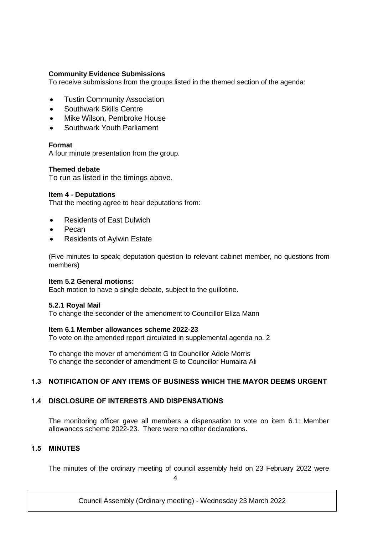# **Community Evidence Submissions**

To receive submissions from the groups listed in the themed section of the agenda:

- Tustin Community Association
- **•** Southwark Skills Centre
- Mike Wilson, Pembroke House
- Southwark Youth Parliament

## **Format**

A four minute presentation from the group.

#### **Themed debate**

To run as listed in the timings above.

#### **Item 4 - Deputations**

That the meeting agree to hear deputations from:

- Residents of East Dulwich
- Pecan
- Residents of Aylwin Estate

(Five minutes to speak; deputation question to relevant cabinet member, no questions from members)

#### **Item 5.2 General motions:**

Each motion to have a single debate, subject to the guillotine.

#### **5.2.1 Royal Mail**

To change the seconder of the amendment to Councillor Eliza Mann

#### **Item 6.1 Member allowances scheme 2022-23**

To vote on the amended report circulated in supplemental agenda no. 2

To change the mover of amendment G to Councillor Adele Morris To change the seconder of amendment G to Councillor Humaira Ali

## **1.3 NOTIFICATION OF ANY ITEMS OF BUSINESS WHICH THE MAYOR DEEMS URGENT**

## **1.4 DISCLOSURE OF INTERESTS AND DISPENSATIONS**

The monitoring officer gave all members a dispensation to vote on item 6.1: Member allowances scheme 2022-23. There were no other declarations.

# **1.5 MINUTES**

The minutes of the ordinary meeting of council assembly held on 23 February 2022 were

 $\Delta$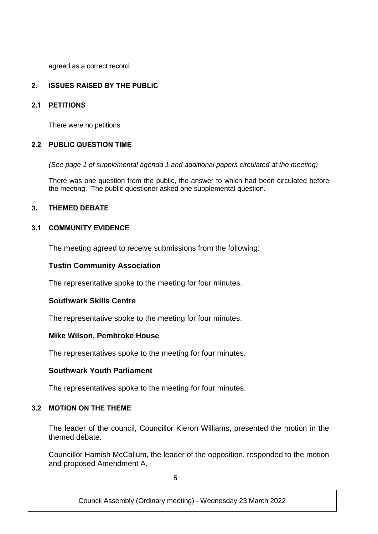agreed as a correct record.

# **2. ISSUES RAISED BY THE PUBLIC**

## **2.1 PETITIONS**

There were no petitions.

## **2.2 PUBLIC QUESTION TIME**

*(See page 1 of supplemental agenda 1 and additional papers circulated at the meeting)*

There was one question from the public, the answer to which had been circulated before the meeting. The public questioner asked one supplemental question.

# **3. THEMED DEBATE**

# **3.1 COMMUNITY EVIDENCE**

The meeting agreed to receive submissions from the following:

# **Tustin Community Association**

The representative spoke to the meeting for four minutes.

## **Southwark Skills Centre**

The representative spoke to the meeting for four minutes.

# **Mike Wilson, Pembroke House**

The representatives spoke to the meeting for four minutes.

## **Southwark Youth Parliament**

The representatives spoke to the meeting for four minutes.

## **3.2 MOTION ON THE THEME**

The leader of the council, Councillor Kieron Williams, presented the motion in the themed debate.

Councillor Hamish McCallum, the leader of the opposition, responded to the motion and proposed Amendment A.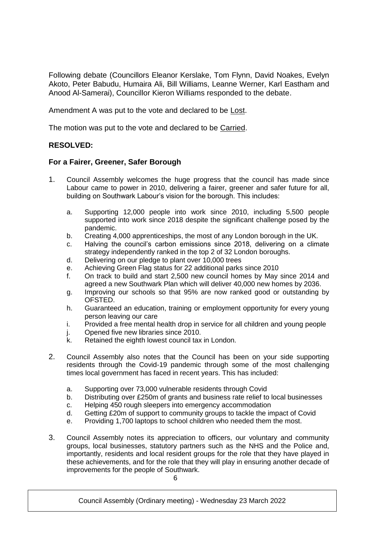Following debate (Councillors Eleanor Kerslake, Tom Flynn, David Noakes, Evelyn Akoto, Peter Babudu, Humaira Ali, Bill Williams, Leanne Werner, Karl Eastham and Anood Al-Samerai), Councillor Kieron Williams responded to the debate.

Amendment A was put to the vote and declared to be Lost.

The motion was put to the vote and declared to be Carried.

# **RESOLVED:**

# **For a Fairer, Greener, Safer Borough**

- 1. Council Assembly welcomes the huge progress that the council has made since Labour came to power in 2010, delivering a fairer, greener and safer future for all, building on Southwark Labour's vision for the borough. This includes:
	- a. Supporting 12,000 people into work since 2010, including 5,500 people supported into work since 2018 despite the significant challenge posed by the pandemic.
	- b. Creating 4,000 apprenticeships, the most of any London borough in the UK.
	- c. Halving the council's carbon emissions since 2018, delivering on a climate strategy independently ranked in the top 2 of 32 London boroughs.
	- d. Delivering on our pledge to plant over 10,000 trees
	- e. Achieving Green Flag status for 22 additional parks since 2010
	- f. On track to build and start 2,500 new council homes by May since 2014 and agreed a new Southwark Plan which will deliver 40,000 new homes by 2036.
	- g. Improving our schools so that 95% are now ranked good or outstanding by OFSTED.
	- h. Guaranteed an education, training or employment opportunity for every young person leaving our care
	- i. Provided a free mental health drop in service for all children and young people
	- j. Opened five new libraries since 2010.
	- k. Retained the eighth lowest council tax in London.
- 2. Council Assembly also notes that the Council has been on your side supporting residents through the Covid-19 pandemic through some of the most challenging times local government has faced in recent years. This has included:
	- a. Supporting over 73,000 vulnerable residents through Covid
	- b. Distributing over £250m of grants and business rate relief to local businesses
	- c. Helping 450 rough sleepers into emergency accommodation
	- d. Getting £20m of support to community groups to tackle the impact of Covid
	- e. Providing 1,700 laptops to school children who needed them the most.
- 3. Council Assembly notes its appreciation to officers, our voluntary and community groups, local businesses, statutory partners such as the NHS and the Police and, importantly, residents and local resident groups for the role that they have played in these achievements, and for the role that they will play in ensuring another decade of improvements for the people of Southwark.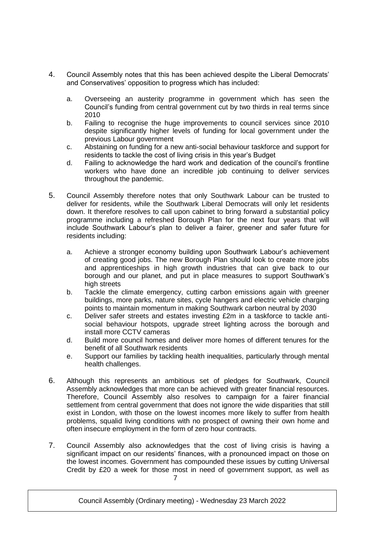- 4. Council Assembly notes that this has been achieved despite the Liberal Democrats' and Conservatives' opposition to progress which has included:
	- a. Overseeing an austerity programme in government which has seen the Council's funding from central government cut by two thirds in real terms since 2010
	- b. Failing to recognise the huge improvements to council services since 2010 despite significantly higher levels of funding for local government under the previous Labour government
	- c. Abstaining on funding for a new anti-social behaviour taskforce and support for residents to tackle the cost of living crisis in this year's Budget
	- d. Failing to acknowledge the hard work and dedication of the council's frontline workers who have done an incredible job continuing to deliver services throughout the pandemic.
- 5. Council Assembly therefore notes that only Southwark Labour can be trusted to deliver for residents, while the Southwark Liberal Democrats will only let residents down. It therefore resolves to call upon cabinet to bring forward a substantial policy programme including a refreshed Borough Plan for the next four years that will include Southwark Labour's plan to deliver a fairer, greener and safer future for residents including:
	- a. Achieve a stronger economy building upon Southwark Labour's achievement of creating good jobs. The new Borough Plan should look to create more jobs and apprenticeships in high growth industries that can give back to our borough and our planet, and put in place measures to support Southwark's high streets
	- b. Tackle the climate emergency, cutting carbon emissions again with greener buildings, more parks, nature sites, cycle hangers and electric vehicle charging points to maintain momentum in making Southwark carbon neutral by 2030
	- c. Deliver safer streets and estates investing £2m in a taskforce to tackle antisocial behaviour hotspots, upgrade street lighting across the borough and install more CCTV cameras
	- d. Build more council homes and deliver more homes of different tenures for the benefit of all Southwark residents
	- e. Support our families by tackling health inequalities, particularly through mental health challenges.
- 6. Although this represents an ambitious set of pledges for Southwark, Council Assembly acknowledges that more can be achieved with greater financial resources. Therefore, Council Assembly also resolves to campaign for a fairer financial settlement from central government that does not ignore the wide disparities that still exist in London, with those on the lowest incomes more likely to suffer from health problems, squalid living conditions with no prospect of owning their own home and often insecure employment in the form of zero hour contracts.
- 7 7. Council Assembly also acknowledges that the cost of living crisis is having a significant impact on our residents' finances, with a pronounced impact on those on the lowest incomes. Government has compounded these issues by cutting Universal Credit by £20 a week for those most in need of government support, as well as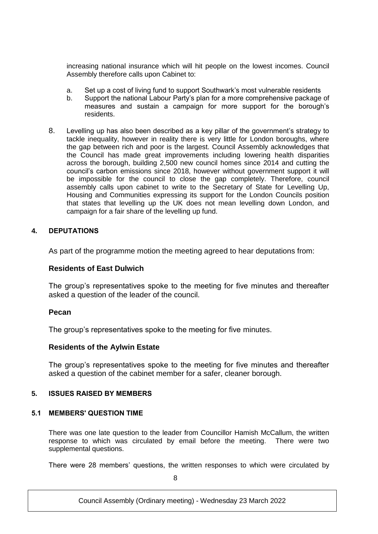increasing national insurance which will hit people on the lowest incomes. Council Assembly therefore calls upon Cabinet to:

- a. Set up a cost of living fund to support Southwark's most vulnerable residents
- b. Support the national Labour Party's plan for a more comprehensive package of measures and sustain a campaign for more support for the borough's residents.
- 8. Levelling up has also been described as a key pillar of the government's strategy to tackle inequality, however in reality there is very little for London boroughs, where the gap between rich and poor is the largest. Council Assembly acknowledges that the Council has made great improvements including lowering health disparities across the borough, building 2,500 new council homes since 2014 and cutting the council's carbon emissions since 2018, however without government support it will be impossible for the council to close the gap completely. Therefore, council assembly calls upon cabinet to write to the Secretary of State for Levelling Up, Housing and Communities expressing its support for the London Councils position that states that levelling up the UK does not mean levelling down London, and campaign for a fair share of the levelling up fund.

## **4. DEPUTATIONS**

As part of the programme motion the meeting agreed to hear deputations from:

# **Residents of East Dulwich**

The group's representatives spoke to the meeting for five minutes and thereafter asked a question of the leader of the council.

#### **Pecan**

The group's representatives spoke to the meeting for five minutes.

#### **Residents of the Aylwin Estate**

The group's representatives spoke to the meeting for five minutes and thereafter asked a question of the cabinet member for a safer, cleaner borough.

## **5. ISSUES RAISED BY MEMBERS**

#### **5.1 MEMBERS' QUESTION TIME**

There was one late question to the leader from Councillor Hamish McCallum, the written response to which was circulated by email before the meeting. There were two supplemental questions.

There were 28 members' questions, the written responses to which were circulated by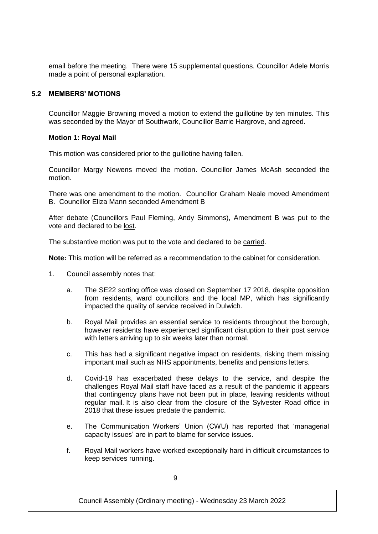email before the meeting. There were 15 supplemental questions. Councillor Adele Morris made a point of personal explanation.

## **5.2 MEMBERS' MOTIONS**

Councillor Maggie Browning moved a motion to extend the guillotine by ten minutes. This was seconded by the Mayor of Southwark, Councillor Barrie Hargrove, and agreed.

#### **Motion 1: Royal Mail**

This motion was considered prior to the guillotine having fallen.

Councillor Margy Newens moved the motion. Councillor James McAsh seconded the motion.

There was one amendment to the motion. Councillor Graham Neale moved Amendment B. Councillor Eliza Mann seconded Amendment B

After debate (Councillors Paul Fleming, Andy Simmons), Amendment B was put to the vote and declared to be lost.

The substantive motion was put to the vote and declared to be carried.

**Note:** This motion will be referred as a recommendation to the cabinet for consideration.

- 1. Council assembly notes that:
	- a. The SE22 sorting office was closed on September 17 2018, despite opposition from residents, ward councillors and the local MP, which has significantly impacted the quality of service received in Dulwich.
	- b. Royal Mail provides an essential service to residents throughout the borough, however residents have experienced significant disruption to their post service with letters arriving up to six weeks later than normal.
	- c. This has had a significant negative impact on residents, risking them missing important mail such as NHS appointments, benefits and pensions letters.
	- d. Covid-19 has exacerbated these delays to the service, and despite the challenges Royal Mail staff have faced as a result of the pandemic it appears that contingency plans have not been put in place, leaving residents without regular mail. It is also clear from the closure of the Sylvester Road office in 2018 that these issues predate the pandemic.
	- e. The Communication Workers' Union (CWU) has reported that 'managerial capacity issues' are in part to blame for service issues.
	- f. Royal Mail workers have worked exceptionally hard in difficult circumstances to keep services running.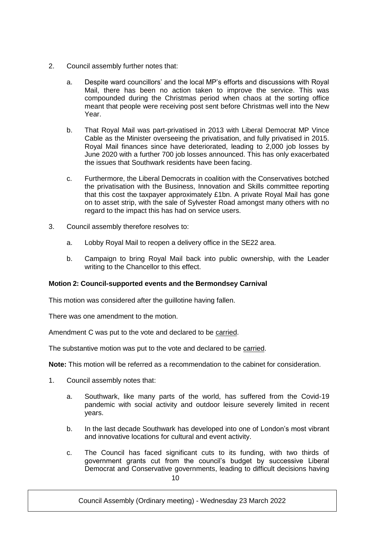- 2. Council assembly further notes that:
	- a. Despite ward councillors' and the local MP's efforts and discussions with Royal Mail, there has been no action taken to improve the service. This was compounded during the Christmas period when chaos at the sorting office meant that people were receiving post sent before Christmas well into the New Year.
	- b. That Royal Mail was part-privatised in 2013 with Liberal Democrat MP Vince Cable as the Minister overseeing the privatisation, and fully privatised in 2015. Royal Mail finances since have deteriorated, leading to 2,000 job losses by June 2020 with a further 700 job losses announced. This has only exacerbated the issues that Southwark residents have been facing.
	- c. Furthermore, the Liberal Democrats in coalition with the Conservatives botched the privatisation with the Business, Innovation and Skills committee reporting that this cost the taxpayer approximately £1bn. A private Royal Mail has gone on to asset strip, with the sale of Sylvester Road amongst many others with no regard to the impact this has had on service users.
- 3. Council assembly therefore resolves to:
	- a. Lobby Royal Mail to reopen a delivery office in the SE22 area.
	- b. Campaign to bring Royal Mail back into public ownership, with the Leader writing to the Chancellor to this effect.

# **Motion 2: Council-supported events and the Bermondsey Carnival**

This motion was considered after the guillotine having fallen.

There was one amendment to the motion.

Amendment C was put to the vote and declared to be carried.

The substantive motion was put to the vote and declared to be carried.

**Note:** This motion will be referred as a recommendation to the cabinet for consideration.

- 1. Council assembly notes that:
	- a. Southwark, like many parts of the world, has suffered from the Covid-19 pandemic with social activity and outdoor leisure severely limited in recent years.
	- b. In the last decade Southwark has developed into one of London's most vibrant and innovative locations for cultural and event activity.
	- $1<sub>0</sub>$ c. The Council has faced significant cuts to its funding, with two thirds of government grants cut from the council's budget by successive Liberal Democrat and Conservative governments, leading to difficult decisions having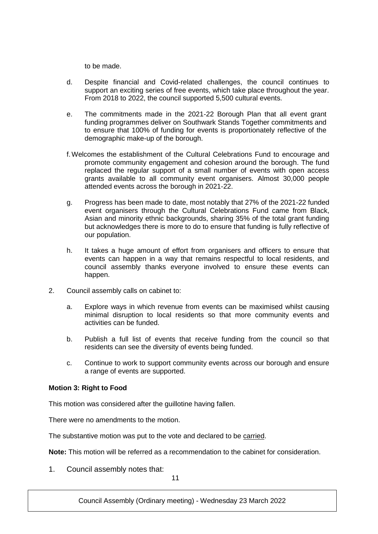to be made.

- d. Despite financial and Covid-related challenges, the council continues to support an exciting series of free events, which take place throughout the year. From 2018 to 2022, the council supported 5,500 cultural events.
- e. The commitments made in the 2021-22 Borough Plan that all event grant funding programmes deliver on Southwark Stands Together commitments and to ensure that 100% of funding for events is proportionately reflective of the demographic make-up of the borough.
- f.Welcomes the establishment of the Cultural Celebrations Fund to encourage and promote community engagement and cohesion around the borough. The fund replaced the regular support of a small number of events with open access grants available to all community event organisers. Almost 30,000 people attended events across the borough in 2021-22.
- g. Progress has been made to date, most notably that 27% of the 2021-22 funded event organisers through the Cultural Celebrations Fund came from Black, Asian and minority ethnic backgrounds, sharing 35% of the total grant funding but acknowledges there is more to do to ensure that funding is fully reflective of our population.
- h. It takes a huge amount of effort from organisers and officers to ensure that events can happen in a way that remains respectful to local residents, and council assembly thanks everyone involved to ensure these events can happen.
- 2. Council assembly calls on cabinet to:
	- a. Explore ways in which revenue from events can be maximised whilst causing minimal disruption to local residents so that more community events and activities can be funded.
	- b. Publish a full list of events that receive funding from the council so that residents can see the diversity of events being funded.
	- c. Continue to work to support community events across our borough and ensure a range of events are supported.

## **Motion 3: Right to Food**

This motion was considered after the guillotine having fallen.

There were no amendments to the motion.

The substantive motion was put to the vote and declared to be carried.

**Note:** This motion will be referred as a recommendation to the cabinet for consideration.

1. Council assembly notes that:

11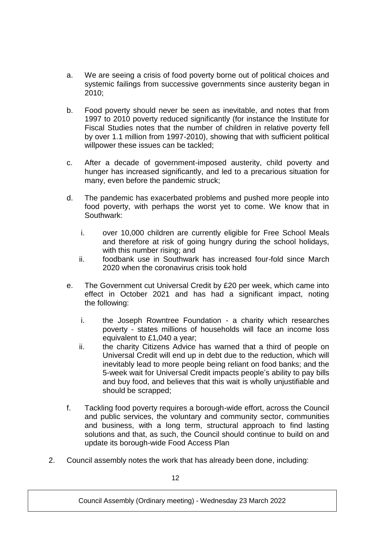- a. We are seeing a crisis of food poverty borne out of political choices and systemic failings from successive governments since austerity began in 2010;
- b. Food poverty should never be seen as inevitable, and notes that from 1997 to 2010 poverty reduced significantly (for instance the Institute for Fiscal Studies notes that the number of children in relative poverty fell by over 1.1 million from 1997-2010), showing that with sufficient political willpower these issues can be tackled;
- c. After a decade of government-imposed austerity, child poverty and hunger has increased significantly, and led to a precarious situation for many, even before the pandemic struck;
- d. The pandemic has exacerbated problems and pushed more people into food poverty, with perhaps the worst yet to come. We know that in Southwark:
	- i. over 10,000 children are currently eligible for Free School Meals and therefore at risk of going hungry during the school holidays, with this number rising; and
	- ii. foodbank use in Southwark has increased four-fold since March 2020 when the coronavirus crisis took hold
- e. The Government cut Universal Credit by £20 per week, which came into effect in October 2021 and has had a significant impact, noting the following:
	- i. the Joseph Rowntree Foundation a charity which researches poverty - states millions of households will face an income loss equivalent to £1,040 a year;
	- ii. the charity Citizens Advice has warned that a third of people on Universal Credit will end up in debt due to the reduction, which will inevitably lead to more people being reliant on food banks; and the 5-week wait for Universal Credit impacts people's ability to pay bills and buy food, and believes that this wait is wholly unjustifiable and should be scrapped;
- f. Tackling food poverty requires a borough-wide effort, across the Council and public services, the voluntary and community sector, communities and business, with a long term, structural approach to find lasting solutions and that, as such, the Council should continue to build on and update its borough-wide Food Access Plan
- 2. Council assembly notes the work that has already been done, including: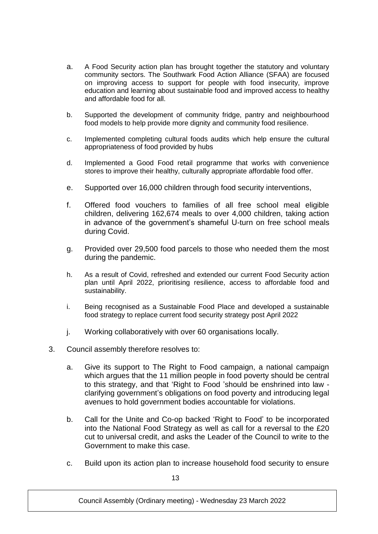- a. A Food Security action plan has brought together the statutory and voluntary community sectors. The Southwark Food Action Alliance (SFAA) are focused on improving access to support for people with food insecurity, improve education and learning about sustainable food and improved access to healthy and affordable food for all.
- b. Supported the development of community fridge, pantry and neighbourhood food models to help provide more dignity and community food resilience.
- c. Implemented completing cultural foods audits which help ensure the cultural appropriateness of food provided by hubs
- d. Implemented a Good Food retail programme that works with convenience stores to improve their healthy, culturally appropriate affordable food offer.
- e. Supported over 16,000 children through food security interventions,
- f. Offered food vouchers to families of all free school meal eligible children, delivering 162,674 meals to over 4,000 children, taking action in advance of the government's shameful U-turn on free school meals during Covid.
- g. Provided over 29,500 food parcels to those who needed them the most during the pandemic.
- h. As a result of Covid, refreshed and extended our current Food Security action plan until April 2022, prioritising resilience, access to affordable food and sustainability.
- i. Being recognised as a Sustainable Food Place and developed a sustainable food strategy to replace current food security strategy post April 2022
- j. Working collaboratively with over 60 organisations locally.
- 3. Council assembly therefore resolves to:
	- a. Give its support to The Right to Food campaign, a national campaign which argues that the 11 million people in food poverty should be central to this strategy, and that 'Right to Food 'should be enshrined into law clarifying government's obligations on food poverty and introducing legal avenues to hold government bodies accountable for violations.
	- b. Call for the Unite and Co-op backed 'Right to Food' to be incorporated into the National Food Strategy as well as call for a reversal to the £20 cut to universal credit, and asks the Leader of the Council to write to the Government to make this case.
	- c. Build upon its action plan to increase household food security to ensure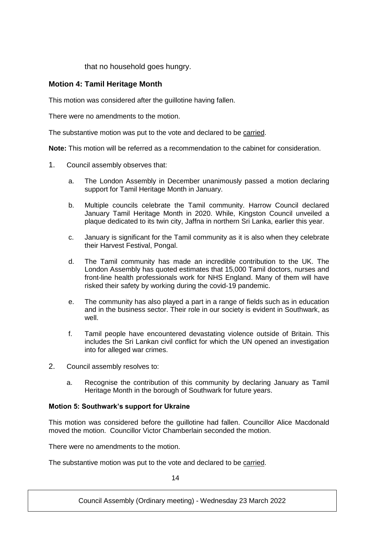that no household goes hungry.

# **Motion 4: Tamil Heritage Month**

This motion was considered after the guillotine having fallen.

There were no amendments to the motion.

The substantive motion was put to the vote and declared to be carried.

**Note:** This motion will be referred as a recommendation to the cabinet for consideration.

- 1. Council assembly observes that:
	- a. The London Assembly in December unanimously passed a motion declaring support for Tamil Heritage Month in January.
	- b. Multiple councils celebrate the Tamil community. Harrow Council declared January Tamil Heritage Month in 2020. While, Kingston Council unveiled a plaque dedicated to its twin city, Jaffna in northern Sri Lanka, earlier this year.
	- c. January is significant for the Tamil community as it is also when they celebrate their Harvest Festival, Pongal.
	- d. The Tamil community has made an incredible contribution to the UK. The London Assembly has quoted estimates that 15,000 Tamil doctors, nurses and front-line health professionals work for NHS England. Many of them will have risked their safety by working during the covid-19 pandemic.
	- e. The community has also played a part in a range of fields such as in education and in the business sector. Their role in our society is evident in Southwark, as well.
	- f. Tamil people have encountered devastating violence outside of Britain. This includes the Sri Lankan civil conflict for which the UN opened an investigation into for alleged war crimes.
- 2. Council assembly resolves to:
	- a. Recognise the contribution of this community by declaring January as Tamil Heritage Month in the borough of Southwark for future years.

## **Motion 5: Southwark's support for Ukraine**

This motion was considered before the guillotine had fallen. Councillor Alice Macdonald moved the motion. Councillor Victor Chamberlain seconded the motion.

There were no amendments to the motion.

The substantive motion was put to the vote and declared to be carried.

 $14$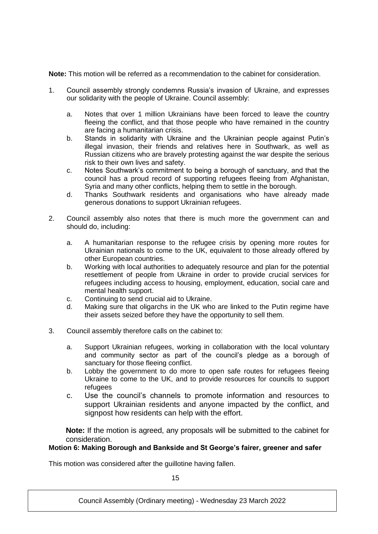**Note:** This motion will be referred as a recommendation to the cabinet for consideration.

- 1. Council assembly strongly condemns Russia's invasion of Ukraine, and expresses our solidarity with the people of Ukraine. Council assembly:
	- a. Notes that over 1 million Ukrainians have been forced to leave the country fleeing the conflict, and that those people who have remained in the country are facing a humanitarian crisis.
	- b. Stands in solidarity with Ukraine and the Ukrainian people against Putin's illegal invasion, their friends and relatives here in Southwark, as well as Russian citizens who are bravely protesting against the war despite the serious risk to their own lives and safety.
	- c. Notes Southwark's commitment to being a borough of sanctuary, and that the council has a proud record of supporting refugees fleeing from Afghanistan, Syria and many other conflicts, helping them to settle in the borough.
	- d. Thanks Southwark residents and organisations who have already made generous donations to support Ukrainian refugees.
- 2. Council assembly also notes that there is much more the government can and should do, including:
	- a. A humanitarian response to the refugee crisis by opening more routes for Ukrainian nationals to come to the UK, equivalent to those already offered by other European countries.
	- b. Working with local authorities to adequately resource and plan for the potential resettlement of people from Ukraine in order to provide crucial services for refugees including access to housing, employment, education, social care and mental health support.
	- c. Continuing to send crucial aid to Ukraine.
	- d. Making sure that oligarchs in the UK who are linked to the Putin regime have their assets seized before they have the opportunity to sell them.
- 3. Council assembly therefore calls on the cabinet to:
	- a. Support Ukrainian refugees, working in collaboration with the local voluntary and community sector as part of the council's pledge as a borough of sanctuary for those fleeing conflict.
	- b. Lobby the government to do more to open safe routes for refugees fleeing Ukraine to come to the UK, and to provide resources for councils to support refugees
	- c. Use the council's channels to promote information and resources to support Ukrainian residents and anyone impacted by the conflict, and signpost how residents can help with the effort.

**Note:** If the motion is agreed, any proposals will be submitted to the cabinet for consideration.

# **Motion 6: Making Borough and Bankside and St George's fairer, greener and safer**

This motion was considered after the guillotine having fallen.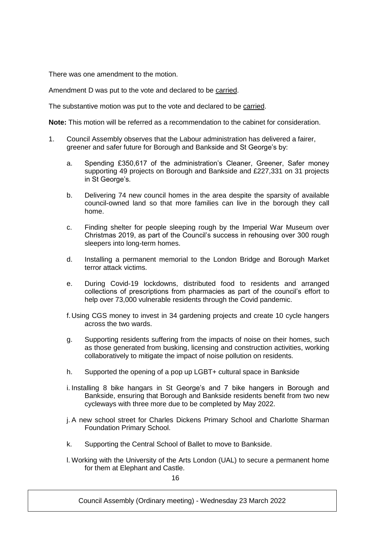There was one amendment to the motion.

Amendment D was put to the vote and declared to be carried.

The substantive motion was put to the vote and declared to be carried.

**Note:** This motion will be referred as a recommendation to the cabinet for consideration.

- 1. Council Assembly observes that the Labour administration has delivered a fairer, greener and safer future for Borough and Bankside and St George's by:
	- a. Spending £350,617 of the administration's Cleaner, Greener, Safer money supporting 49 projects on Borough and Bankside and £227,331 on 31 projects in St George's.
	- b. Delivering 74 new council homes in the area despite the sparsity of available council-owned land so that more families can live in the borough they call home.
	- c. Finding shelter for people sleeping rough by the Imperial War Museum over Christmas 2019, as part of the Council's success in rehousing over 300 rough sleepers into long-term homes.
	- d. Installing a permanent memorial to the London Bridge and Borough Market terror attack victims.
	- e. During Covid-19 lockdowns, distributed food to residents and arranged collections of prescriptions from pharmacies as part of the council's effort to help over 73,000 vulnerable residents through the Covid pandemic.
	- f.Using CGS money to invest in 34 gardening projects and create 10 cycle hangers across the two wards.
	- g. Supporting residents suffering from the impacts of noise on their homes, such as those generated from busking, licensing and construction activities, working collaboratively to mitigate the impact of noise pollution on residents.
	- h. Supported the opening of a pop up LGBT+ cultural space in Bankside
	- i. Installing 8 bike hangars in St George's and 7 bike hangers in Borough and Bankside, ensuring that Borough and Bankside residents benefit from two new cycleways with three more due to be completed by May 2022.
	- j. A new school street for Charles Dickens Primary School and Charlotte Sharman Foundation Primary School.
	- k. Supporting the Central School of Ballet to move to Bankside.
	- l. Working with the University of the Arts London (UAL) to secure a permanent home for them at Elephant and Castle.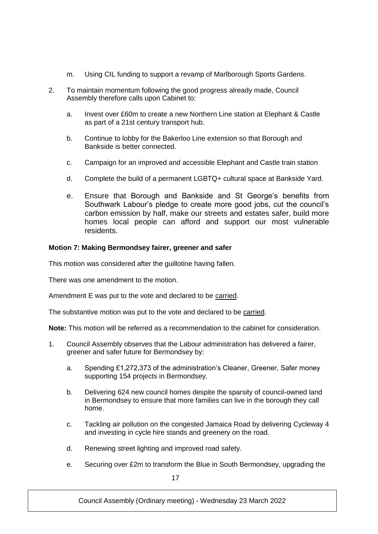- m. Using CIL funding to support a revamp of Marlborough Sports Gardens.
- 2. To maintain momentum following the good progress already made, Council Assembly therefore calls upon Cabinet to:
	- a. Invest over £60m to create a new Northern Line station at Elephant & Castle as part of a 21st century transport hub.
	- b. Continue to lobby for the Bakerloo Line extension so that Borough and Bankside is better connected.
	- c. Campaign for an improved and accessible Elephant and Castle train station
	- d. Complete the build of a permanent LGBTQ+ cultural space at Bankside Yard.
	- e. Ensure that Borough and Bankside and St George's benefits from Southwark Labour's pledge to create more good jobs, cut the council's carbon emission by half, make our streets and estates safer, build more homes local people can afford and support our most vulnerable residents.

# **Motion 7: Making Bermondsey fairer, greener and safer**

This motion was considered after the guillotine having fallen.

There was one amendment to the motion.

Amendment E was put to the vote and declared to be carried.

The substantive motion was put to the vote and declared to be carried.

**Note:** This motion will be referred as a recommendation to the cabinet for consideration.

- 1. Council Assembly observes that the Labour administration has delivered a fairer, greener and safer future for Bermondsey by:
	- a. Spending £1,272,373 of the administration's Cleaner, Greener, Safer money supporting 154 projects in Bermondsey.
	- b. Delivering 624 new council homes despite the sparsity of council-owned land in Bermondsey to ensure that more families can live in the borough they call home.
	- c. Tackling air pollution on the congested Jamaica Road by delivering Cycleway 4 and investing in cycle hire stands and greenery on the road.
	- d. Renewing street lighting and improved road safety.
	- e. Securing over £2m to transform the Blue in South Bermondsey, upgrading the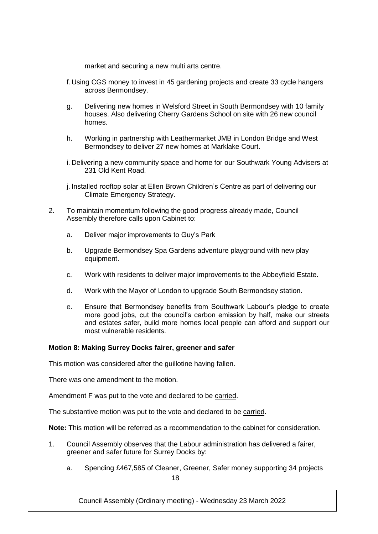market and securing a new multi arts centre.

- f.Using CGS money to invest in 45 gardening projects and create 33 cycle hangers across Bermondsey.
- g. Delivering new homes in Welsford Street in South Bermondsey with 10 family houses. Also delivering Cherry Gardens School on site with 26 new council homes.
- h. Working in partnership with Leathermarket JMB in London Bridge and West Bermondsey to deliver 27 new homes at Marklake Court.
- i. Delivering a new community space and home for our Southwark Young Advisers at 231 Old Kent Road.
- j. Installed rooftop solar at Ellen Brown Children's Centre as part of delivering our Climate Emergency Strategy.
- 2. To maintain momentum following the good progress already made, Council Assembly therefore calls upon Cabinet to:
	- a. Deliver major improvements to Guy's Park
	- b. Upgrade Bermondsey Spa Gardens adventure playground with new play equipment.
	- c. Work with residents to deliver major improvements to the Abbeyfield Estate.
	- d. Work with the Mayor of London to upgrade South Bermondsey station.
	- e. Ensure that Bermondsey benefits from Southwark Labour's pledge to create more good jobs, cut the council's carbon emission by half, make our streets and estates safer, build more homes local people can afford and support our most vulnerable residents.

## **Motion 8: Making Surrey Docks fairer, greener and safer**

This motion was considered after the guillotine having fallen.

There was one amendment to the motion.

Amendment F was put to the vote and declared to be carried.

The substantive motion was put to the vote and declared to be carried.

**Note:** This motion will be referred as a recommendation to the cabinet for consideration.

- 1. Council Assembly observes that the Labour administration has delivered a fairer, greener and safer future for Surrey Docks by:
	- 18 a. Spending £467,585 of Cleaner, Greener, Safer money supporting 34 projects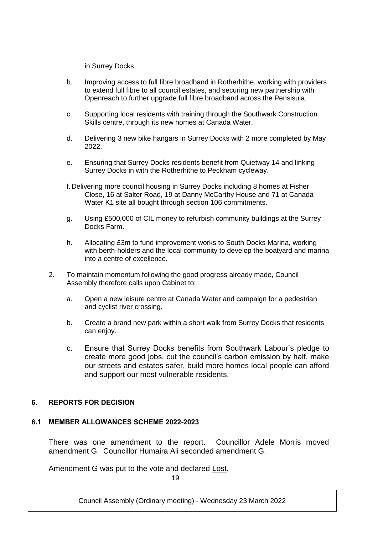in Surrey Docks.

- b. Improving access to full fibre broadband in Rotherhithe, working with providers to extend full fibre to all council estates, and securing new partnership with Openreach to further upgrade full fibre broadband across the Pensisula.
- c. Supporting local residents with training through the Southwark Construction Skills centre, through its new homes at Canada Water.
- d. Delivering 3 new bike hangars in Surrey Docks with 2 more completed by May 2022.
- e. Ensuring that Surrey Docks residents benefit from Quietway 14 and linking Surrey Docks in with the Rotherhithe to Peckham cycleway.
- f.Delivering more council housing in Surrey Docks including 8 homes at Fisher Close, 16 at Salter Road, 19 at Danny McCarthy House and 71 at Canada Water K1 site all bought through section 106 commitments.
- g. Using £500,000 of CIL money to refurbish community buildings at the Surrey Docks Farm.
- h. Allocating £3m to fund improvement works to South Docks Marina, working with berth-holders and the local community to develop the boatyard and marina into a centre of excellence.
- 2. To maintain momentum following the good progress already made, Council Assembly therefore calls upon Cabinet to:
	- a. Open a new leisure centre at Canada Water and campaign for a pedestrian and cyclist river crossing.
	- b. Create a brand new park within a short walk from Surrey Docks that residents can enjoy.
	- c. Ensure that Surrey Docks benefits from Southwark Labour's pledge to create more good jobs, cut the council's carbon emission by half, make our streets and estates safer, build more homes local people can afford and support our most vulnerable residents.

# **6. REPORTS FOR DECISION**

## **6.1 MEMBER ALLOWANCES SCHEME 2022-2023**

There was one amendment to the report. Councillor Adele Morris moved amendment G. Councillor Humaira Ali seconded amendment G.

Amendment G was put to the vote and declared Lost.

19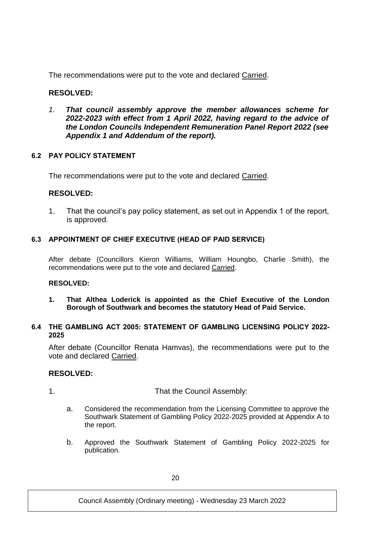The recommendations were put to the vote and declared Carried.

# **RESOLVED:**

*1. That council assembly approve the member allowances scheme for 2022-2023 with effect from 1 April 2022, having regard to the advice of the London Councils Independent Remuneration Panel Report 2022 (see Appendix 1 and Addendum of the report).*

# **6.2 PAY POLICY STATEMENT**

The recommendations were put to the vote and declared Carried.

# **RESOLVED:**

1. That the council's pay policy statement, as set out in Appendix 1 of the report, is approved.

# **6.3 APPOINTMENT OF CHIEF EXECUTIVE (HEAD OF PAID SERVICE)**

After debate (Councillors Kieron Williams, William Houngbo, Charlie Smith), the recommendations were put to the vote and declared Carried.

## **RESOLVED:**

**1. That Althea Loderick is appointed as the Chief Executive of the London Borough of Southwark and becomes the statutory Head of Paid Service.**

## **6.4 THE GAMBLING ACT 2005: STATEMENT OF GAMBLING LICENSING POLICY 2022- 2025**

After debate (Councillor Renata Hamvas), the recommendations were put to the vote and declared Carried.

# **RESOLVED:**

1. That the Council Assembly:

- a. Considered the recommendation from the Licensing Committee to approve the Southwark Statement of Gambling Policy 2022-2025 provided at Appendix A to the report.
- b. Approved the Southwark Statement of Gambling Policy 2022-2025 for publication.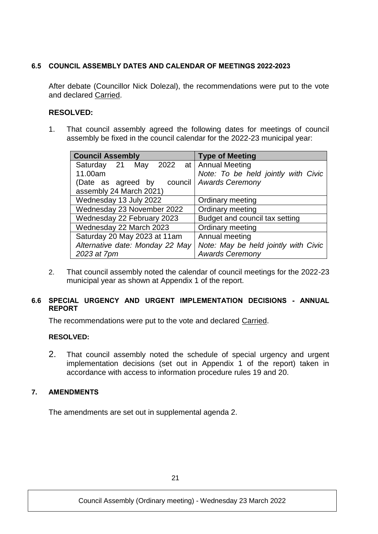# **6.5 COUNCIL ASSEMBLY DATES AND CALENDAR OF MEETINGS 2022-2023**

After debate (Councillor Nick Dolezal), the recommendations were put to the vote and declared Carried.

# **RESOLVED:**

1. That council assembly agreed the following dates for meetings of council assembly be fixed in the council calendar for the 2022-23 municipal year:

| <b>Council Assembly</b>                | <b>Type of Meeting</b>               |
|----------------------------------------|--------------------------------------|
| Saturday 21 May 2022 at Annual Meeting |                                      |
| 11.00am                                | Note: To be held jointly with Civic  |
| (Date as agreed by                     | council   Awards Ceremony            |
| assembly 24 March 2021)                |                                      |
| Wednesday 13 July 2022                 | Ordinary meeting                     |
| Wednesday 23 November 2022             | Ordinary meeting                     |
| Wednesday 22 February 2023             | Budget and council tax setting       |
| Wednesday 22 March 2023                | Ordinary meeting                     |
| Saturday 20 May 2023 at 11am           | Annual meeting                       |
| Alternative date: Monday 22 May        | Note: May be held jointly with Civic |
| 2023 at 7pm                            | <b>Awards Ceremony</b>               |

2. That council assembly noted the calendar of council meetings for the 2022-23 municipal year as shown at Appendix 1 of the report.

# **6.6 SPECIAL URGENCY AND URGENT IMPLEMENTATION DECISIONS - ANNUAL REPORT**

The recommendations were put to the vote and declared Carried.

# **RESOLVED:**

2. That council assembly noted the schedule of special urgency and urgent implementation decisions (set out in Appendix 1 of the report) taken in accordance with access to information procedure rules 19 and 20.

# **7. AMENDMENTS**

The amendments are set out in supplemental agenda 2.